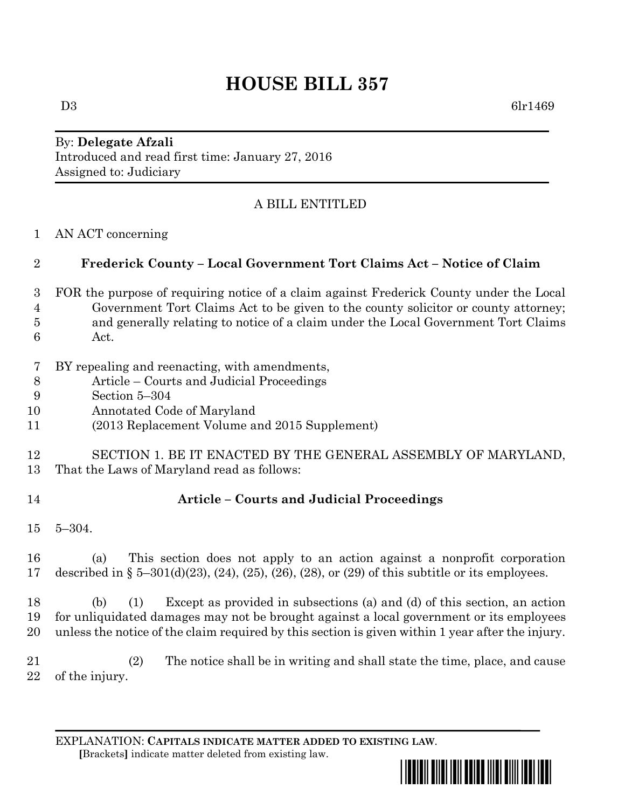# **HOUSE BILL 357**

#### By: **Delegate Afzali** Introduced and read first time: January 27, 2016 Assigned to: Judiciary

# A BILL ENTITLED

AN ACT concerning

### **Frederick County – Local Government Tort Claims Act – Notice of Claim**

- FOR the purpose of requiring notice of a claim against Frederick County under the Local Government Tort Claims Act to be given to the county solicitor or county attorney; and generally relating to notice of a claim under the Local Government Tort Claims Act.
- BY repealing and reenacting, with amendments,
- Article Courts and Judicial Proceedings
- Section 5–304
- Annotated Code of Maryland
- (2013 Replacement Volume and 2015 Supplement)

#### SECTION 1. BE IT ENACTED BY THE GENERAL ASSEMBLY OF MARYLAND, That the Laws of Maryland read as follows:

# **Article – Courts and Judicial Proceedings**

5–304.

 (a) This section does not apply to an action against a nonprofit corporation described in § 5–301(d)(23), (24), (25), (26), (28), or (29) of this subtitle or its employees.

 (b) (1) Except as provided in subsections (a) and (d) of this section, an action for unliquidated damages may not be brought against a local government or its employees unless the notice of the claim required by this section is given within 1 year after the injury.

 (2) The notice shall be in writing and shall state the time, place, and cause of the injury.

EXPLANATION: **CAPITALS INDICATE MATTER ADDED TO EXISTING LAW**.  **[**Brackets**]** indicate matter deleted from existing law.